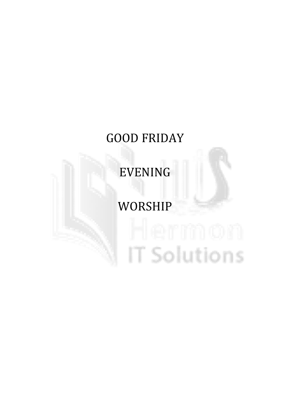# GOOD FRIDAY

EVENING

# WORSHIP

# IT Solutions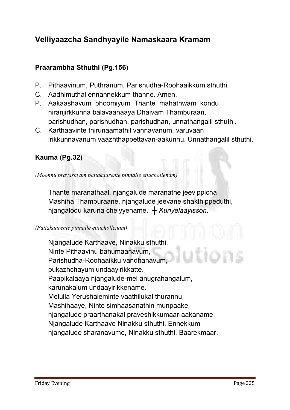# Velliyaazcha Sandhyayile Namaskaara Kramam

# Praarambha Sthuthi (Pg.156)

- **P. Pithaavinum, Puthranum, Parishudha-Roohaaikkum sthuthi.**
- **C. Aadhimuthal ennannekkum thanne. Amen.**
- **P. Aakaashavum bhoomiyum Thante mahathwam kondu niranjirkkunna balavaanaaya Dhaivam Thamburaan, parishudhan, parishudhan, parishudhan, unnathangalil sthuthi.**
- **C. Karthaavinte thirunaamathil vannavanum, varuvaan irikkunnavanum vaazhthappettavan-aakunnu. Unnathangalil sthuthi.**

# Kauma (Pg.32)

*(Moonnu pravashyam pattakaarente pinnalle ettuchollenam)*

**Thante maranathaal, njangalude maranathe jeevippicha Mashiha Thamburaane, njangalude jeevane shakthippeduthi, njangalodu karuna cheiyyename.** *┼ Kuriyelaayisson.*

#### *(Pattakaarente pinnalle ettuchollenam)*

**Njangalude Karthaave, Ninakku sthuthi, Ninte Pithaavinu bahumaanavum, Parishudha-Roohaaikku vandhanavum, pukazhchayum undaayirikkatte. Paapikalaaya njangalude-mel anugrahangalum, karunakalum undaayirikkename. Melulla Yerushaleminte vaathilukal thurannu, Mashihaaye, Ninte simhaasanathin munpaake, njangalude praarthanakal praveshikkumaar-aakaname. Njangalude Karthaave Ninakku sthuthi. Ennekkum njangalude sharanavume, Ninakku sthuthi. Baarekmaar.**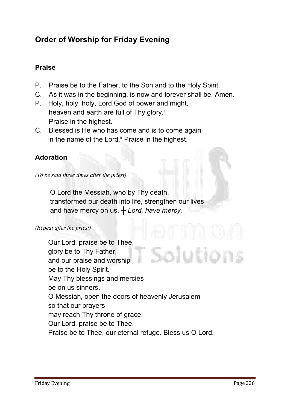# Order of Worship for Friday Evening

# Praise

- **P. Praise be to the Father, to the Son and to the Holy Spirit.**
- **C. As it was in the beginning, is now and forever shall be. Amen.**
- **P. Holy, holy, holy, Lord God of power and might, heaven and earth are full of Thy glory.i Praise in the highest.**
- **C. Blessed is He who has come and is to come again in the name of the Lord.ii Praise in the highest.**

# Adoration

*(To be said three times after the priest)*

 **O Lord the Messiah, who by Thy death, transformed our death into life, strengthen our lives and have mercy on us.** *┼ Lord, have mercy.*

#### *(Repeat after the priest)*

**Our Lord, praise be to Thee, glory be to Thy Father, and our praise and worship be to the Holy Spirit. May Thy blessings and mercies be on us sinners. O Messiah, open the doors of heavenly Jerusalem so that our prayers may reach Thy throne of grace. Our Lord, praise be to Thee. Praise be to Thee, our eternal refuge. Bless us O Lord.**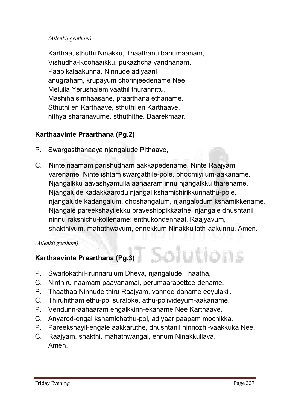#### *(Allenkil geetham)*

**Karthaa, sthuthi Ninakku, Thaathanu bahumaanam, Vishudha-Roohaaikku, pukazhcha vandhanam. Paapikalaakunna, Ninnude adiyaaril anugraham, krupayum chorinjeedename Nee. Melulla Yerushalem vaathil thurannittu, Mashiha simhaasane, praarthana ethaname. Sthuthi en Karthaave, sthuthi en Karthaave, nithya sharanavume, sthuthithe. Baarekmaar.**

# Karthaavinte Praarthana (Pg.2)

- **P. Swargasthanaaya njangalude Pithaave,**
- **C. Ninte naamam parishudham aakkapedename. Ninte Raajyam varename; Ninte ishtam swargathile-pole, bhoomiyilum-aakaname. Njangalkku aavashyamulla aahaaram innu njangalkku tharename. Njangalude kadakkaarodu njangal kshamichirikkunnathu-pole, njangalude kadangalum, dhoshangalum, njangalodum kshamikkename. Njangale pareekshayilekku praveshippikkaathe, njangale dhushtanil ninnu rakshichu-kollename; enthukondennaal, Raajyavum, shakthiyum, mahathwavum, ennekkum Ninakkullath-aakunnu. Amen.**

#### *(Allenkil geetham)*

# Karthaavinte Praarthana (Pg.3)

- **P. Swarlokathil-irunnarulum Dheva, njangalude Thaatha,**
- **C. Ninthiru-naamam paavanamai, perumaarapettee-dename.**
- **P. Thaathaa Ninnude thiru Raajyam, vannee-daname eeyulakil.**
- **C. Thiruhitham ethu-pol suraloke, athu-polivideyum-aakaname.**
- **P. Vendunn-aahaaram engalkkinn-ekaname Nee Karthaave.**
- **C. Anyarod-engal kshamichathu-pol, adiyaar paapam mochikka.**
- **P. Pareekshayil-engale aakkaruthe, dhushtanil ninnozhi-vaakkuka Nee.**
- **C. Raajyam, shakthi, mahathwangal, ennum Ninakkullava. Amen.**

lutions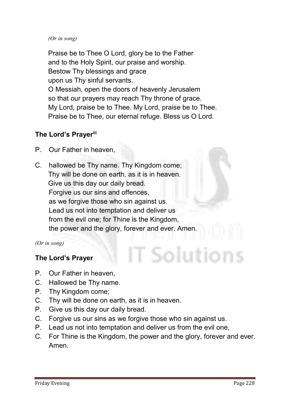#### *(Or in song)*

**Praise be to Thee O Lord, glory be to the Father and to the Holy Spirit, our praise and worship. Bestow Thy blessings and grace upon us Thy sinful servants. O Messiah, open the doors of heavenly Jerusalem so that our prayers may reach Thy throne of grace. My Lord, praise be to Thee. My Lord, praise be to Thee. Praise be to Thee, our eternal refuge. Bless us O Lord.**

# The Lord's Prayerili

- **P. Our Father in heaven,**
- **C. hallowed be Thy name. Thy Kingdom come; Thy will be done on earth, as it is in heaven. Give us this day our daily bread. Forgive us our sins and offences, as we forgive those who sin against us. Lead us not into temptation and deliver us from the evil one; for Thine is the Kingdom, the power and the glory, forever and ever. Amen.**

*(Or in song)*

# The Lord's Prayer

- **P. Our Father in heaven,**
- **C. Hallowed be Thy name.**
- **P. Thy Kingdom come;**
- **C. Thy will be done on earth, as it is in heaven.**
- **P. Give us this day our daily bread.**
- **C. Forgive us our sins as we forgive those who sin against us.**
- **P. Lead us not into temptation and deliver us from the evil one,**
- **C. For Thine is the Kingdom, the power and the glory, forever and ever. Amen.**

T Solution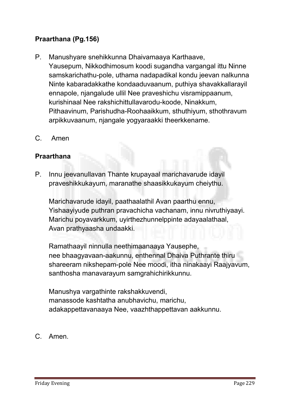# Praarthana (Pg.156)

- **P. Manushyare snehikkunna Dhaivamaaya Karthaave, Yausepum, Nikkodhimosum koodi sugandha vargangal ittu Ninne samskarichathu-pole, uthama nadapadikal kondu jeevan nalkunna Ninte kabaradakkathe kondaaduvaanum, puthiya shavakkallarayil ennapole, njangalude ullil Nee praveshichu visramippaanum, kurishinaal Nee rakshichittullavarodu-koode, Ninakkum, Pithaavinum, Parishudha-Roohaaikkum, sthuthiyum, sthothravum arpikkuvaanum, njangale yogyaraakki theerkkename.**
- **C. Amen**

# Praarthana

**P. Innu jeevanullavan Thante krupayaal marichavarude idayil praveshikkukayum, maranathe shaasikkukayum cheiythu.** 

 **Marichavarude idayil, paathaalathil Avan paarthu ennu, Yishaayiyude puthran pravachicha vachanam, innu nivruthiyaayi. Marichu poyavarkkum, uyirthezhunnelppinte adayaalathaal, Avan prathyaasha undaakki.**

 **Ramathaayil ninnulla neethimaanaaya Yausephe, nee bhaagyavaan-aakunnu, enthennal Dhaiva Puthrante thiru shareeram nikshepam-pole Nee moodi, itha ninakaayi Raajyavum, santhosha manavarayum samgrahichirikkunnu.** 

 **Manushya vargathinte rakshakkuvendi, manassode kashtatha anubhavichu, marichu, adakappettavanaaya Nee, vaazhthappettavan aakkunnu.**

**C. Amen.**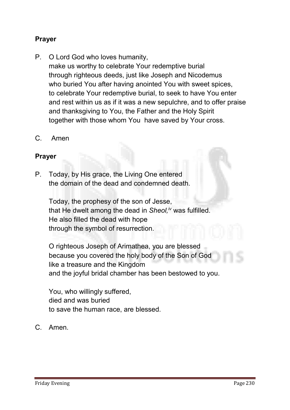# Prayer

- **P. O Lord God who loves humanity, make us worthy to celebrate Your redemptive burial through righteous deeds, just like Joseph and Nicodemus who buried You after having anointed You with sweet spices, to celebrate Your redemptive burial, to seek to have You enter and rest within us as if it was a new sepulchre, and to offer praise and thanksgiving to You, the Father and the Holy Spirit together with those whom You have saved by Your cross.**
- **C. Amen**

# Prayer

**P. Today, by His grace, the Living One entered the domain of the dead and condemned death.** 

 **Today, the prophesy of the son of Jesse, that He dwelt among the dead in** *Sheol,iv* **was fulfilled. He also filled the dead with hope through the symbol of resurrection.**

 **O righteous Joseph of Arimathea, you are blessed because you covered the holy body of the Son of God like a treasure and the Kingdom and the joyful bridal chamber has been bestowed to you.** 

 **You, who willingly suffered, died and was buried to save the human race, are blessed.**

**C. Amen.**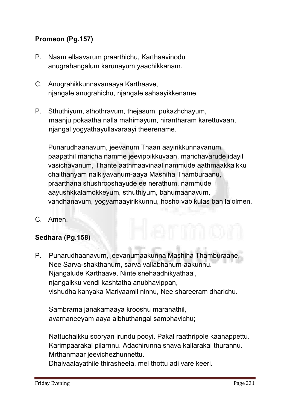# Promeon (Pg.157)

- **P. Naam ellaavarum praarthichu, Karthaavinodu anugrahangalum karunayum yaachikkanam.**
- **C. Anugrahikkunnavanaaya Karthaave, njangale anugrahichu, njangale sahaayikkename.**
- **P. Sthuthiyum, sthothravum, thejasum, pukazhchayum, maanju pokaatha nalla mahimayum, nirantharam karettuvaan, njangal yogyathayullavaraayi theerename.**

**Punarudhaanavum, jeevanum Thaan aayirikkunnavanum, paapathil maricha namme jeevippikkuvaan, marichavarude idayil vasichavanum, Thante aathmaavinaal nammude aathmaakkalkku chaithanyam nalkiyavanum-aaya Mashiha Thamburaanu, praarthana shushrooshayude ee nerathum, nammude aayushkkalamokkeyum, sthuthiyum, bahumaanavum, vandhanavum, yogyamaayirikkunnu, hosho vab'kulas ban la'olmen.**

**C. Amen.**

# Sedhara (Pg.158)

**P. Punarudhaanavum, jeevanumaakunna Mashiha Thamburaane, Nee Sarva-shakthanum, sarva vallabhanum-aakunnu. Njangalude Karthaave, Ninte snehaadhikyathaal, njangalkku vendi kashtatha anubhavippan, vishudha kanyaka Mariyaamil ninnu, Nee shareeram dharichu.** 

**Sambrama janakamaaya krooshu maranathil, avarnaneeyam aaya albhuthangal sambhavichu;** 

**Nattuchaikku sooryan irundu pooyi. Pakal raathripole kaanappettu. Karimpaarakal pilarnnu. Adachirunna shava kallarakal thurannu. Mrthanmaar jeevichezhunnettu.** 

**Dhaivaalayathile thirasheela, mel thottu adi vare keeri.**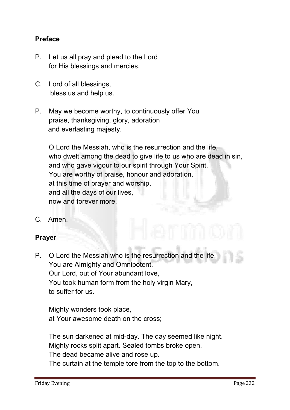# Preface

- **P. Let us all pray and plead to the Lord for His blessings and mercies.**
- **C. Lord of all blessings, bless us and help us.**
- **P. May we become worthy, to continuously offer You praise, thanksgiving, glory, adoration and everlasting majesty.**

**O Lord the Messiah, who is the resurrection and the life, who dwelt among the dead to give life to us who are dead in sin, and who gave vigour to our spirit through Your Spirit, You are worthy of praise, honour and adoration, at this time of prayer and worship, and all the days of our lives, now and forever more.**

**C. Amen.**

# Prayer

**P. O Lord the Messiah who is the resurrection and the life, You are Almighty and Omnipotent. Our Lord, out of Your abundant love, You took human form from the holy virgin Mary, to suffer for us.** 

**Mighty wonders took place, at Your awesome death on the cross;**

**The sun darkened at mid-day. The day seemed like night. Mighty rocks split apart. Sealed tombs broke open. The dead became alive and rose up. The curtain at the temple tore from the top to the bottom.**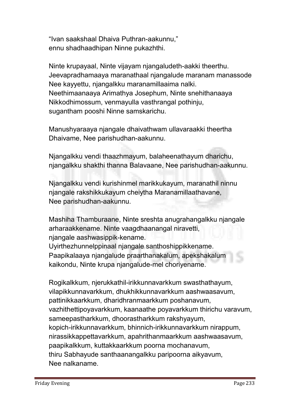**"Ivan saakshaal Dhaiva Puthran-aakunnu," ennu shadhaadhipan Ninne pukazhthi.** 

**Ninte krupayaal, Ninte vijayam njangaludeth-aakki theerthu. Jeevapradhamaaya maranathaal njangalude maranam manassode Nee kayyettu, njangalkku maranamillaaima nalki. Neethimaanaaya Arimathya Josephum, Ninte snehithanaaya Nikkodhimossum, venmayulla vasthrangal pothinju, sugantham pooshi Ninne samskarichu.** 

**Manushyaraaya njangale dhaivathwam ullavaraakki theertha Dhaivame, Nee parishudhan-aakunnu.** 

**Njangalkku vendi thaazhmayum, balaheenathayum dharichu, njangalkku shakthi thanna Balavaane, Nee parishudhan-aakunnu.** 

**Njangalkku vendi kurishinmel marikkukayum, maranathil ninnu njangale rakshikkukayum cheiytha Maranamillaathavane, Nee parishudhan-aakunnu.** 

**Mashiha Thamburaane, Ninte sreshta anugrahangalkku njangale arharaakkename. Ninte vaagdhaanangal niravetti, njangale aashwasippik-kename. Uyirthezhunnelppinaal njangale santhoshippikkename. Paapikalaaya njangalude praarthanakalum, apekshakalum kaikondu, Ninte krupa njangalude-mel choriyename.** 

**Rogikalkkum, njerukkathil-irikkunnavarkkum swasthathayum, vilapikkunnavarkkum, dhukhikkunnavarkkum aashwaasavum, pattinikkaarkkum, dharidhranmaarkkum poshanavum, vazhithettipoyavarkkum, kaanaathe poyavarkkum thirichu varavum, sameepastharkkum, dhoorastharkkum rakshyayum, kopich-irikkunnavarkkum, bhinnich-irikkunnavarkkum nirappum, nirassikkappettavarkkum, apahrithanmaarkkum aashwaasavum, paapikalkkum, kuttakkaarkkum poorna mochanavum, thiru Sabhayude santhaanangalkku paripoorna aikyavum, Nee nalkaname.**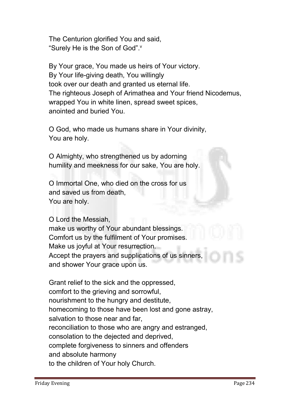**The Centurion glorified You and said, "Surely He is the Son of God".v**

**By Your grace, You made us heirs of Your victory. By Your life-giving death, You willingly took over our death and granted us eternal life. The righteous Joseph of Arimathea and Your friend Nicodemus, wrapped You in white linen, spread sweet spices, anointed and buried You.**

**O God, who made us humans share in Your divinity, You are holy.**

**O Almighty, who strengthened us by adorning humility and meekness for our sake, You are holy.**

**O Immortal One, who died on the cross for us and saved us from death, You are holy.**

**O Lord the Messiah, make us worthy of Your abundant blessings. Comfort us by the fulfilment of Your promises. Make us joyful at Your resurrection. Accept the prayers and supplications of us sinners, and shower Your grace upon us.**

**Grant relief to the sick and the oppressed, comfort to the grieving and sorrowful, nourishment to the hungry and destitute, homecoming to those have been lost and gone astray, salvation to those near and far, reconciliation to those who are angry and estranged, consolation to the dejected and deprived, complete forgiveness to sinners and offenders and absolute harmony to the children of Your holy Church.**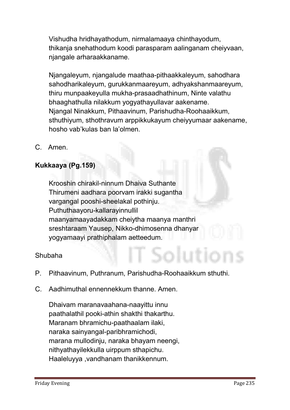**Vishudha hridhayathodum, nirmalamaaya chinthayodum, thikanja snehathodum koodi parasparam aalinganam cheiyvaan, njangale arharaakkaname.** 

**Njangaleyum, njangalude maathaa-pithaakkaleyum, sahodhara sahodharikaleyum, gurukkanmaareyum, adhyakshanmaareyum, thiru munpaakeyulla mukha-prasaadhathinum, Ninte valathu bhaaghathulla nilakkum yogyathayullavar aakename. Njangal Ninakkum, Pithaavinum, Parishudha-Roohaaikkum, sthuthiyum, sthothravum arppikkukayum cheiyyumaar aakename, hosho vab'kulas ban la'olmen.**

**C. Amen.**

# Kukkaaya (Pg.159)

**Krooshin chirakil-ninnum Dhaiva Suthante Thirumeni aadhara poorvam irakki sugantha vargangal pooshi-sheelakal pothinju. Puthuthaayoru-kallarayinnullil maanyamaayadakkam cheiytha maanya manthri sreshtaraam Yausep, Nikko-dhimosenna dhanyar yogyamaayi prathiphalam aetteedum.**

**Shubaha**

- **P. Pithaavinum, Puthranum, Parishudha-Roohaaikkum sthuthi.**
- **C. Aadhimuthal ennennekkum thanne. Amen.**

**Dhaivam maranavaahana-naayittu innu paathalathil pooki-athin shakthi thakarthu. Maranam bhramichu-paathaalam ilaki, naraka sainyangal-paribhramichodi, marana mullodinju, naraka bhayam neengi, nithyathayilekkulla uirppum sthapichu. Haaleluyya ,vandhanam thanikkennum.**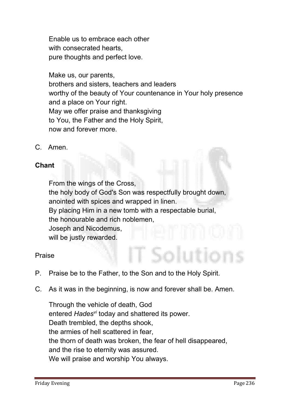**Enable us to embrace each other with consecrated hearts, pure thoughts and perfect love.**

**Make us, our parents, brothers and sisters, teachers and leaders worthy of the beauty of Your countenance in Your holy presence and a place on Your right. May we offer praise and thanksgiving to You, the Father and the Holy Spirit, now and forever more.**

**C. Amen.**

# Chant

**From the wings of the Cross, the holy body of God's Son was respectfully brought down, anointed with spices and wrapped in linen. By placing Him in a new tomb with a respectable burial, the honourable and rich noblemen, Joseph and Nicodemus, will be justly rewarded.**

**Praise** 

- **P. Praise be to the Father, to the Son and to the Holy Spirit.**
- **C. As it was in the beginning, is now and forever shall be. Amen.**

**Through the vehicle of death, God entered** *Hadesvi* **today and shattered its power. Death trembled, the depths shook, the armies of hell scattered in fear, the thorn of death was broken, the fear of hell disappeared, and the rise to eternity was assured. We will praise and worship You always.**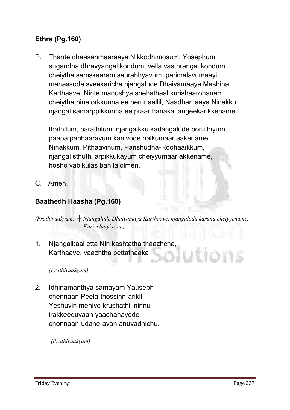# Ethra (Pg.160)

**P. Thante dhaasanmaaraaya Nikkodhimosum, Yosephum, sugandha dhravyangal kondum, vella vasthrangal kondum cheiytha samskaaram saurabhyavum, parimalavumaayi manassode sveekaricha njangalude Dhaivamaaya Mashiha Karthaave, Ninte manushya snehathaal kurishaarohanam cheiythathine orkkunna ee perunaallil, Naadhan aaya Ninakku njangal samarppikkunna ee praarthanakal angeekarikkename.** 

**Ihathilum, parathilum, njangalkku kadangalude poruthiyum, paapa parihaaravum kanivode nalkumaar aakename. Ninakkum, Pithaavinum, Parishudha-Roohaaikkum, njangal sthuthi arpikkukayum cheiyyumaar akkename, hosho vab'kulas ban la'olmen.**

**C. Amen.**

# Baathedh Haasha (Pg.160)

*(Prathivaakyam: ┼ Njangalude Dhaivamaya Karthaave, njangalodu karuna cheiyyename. Kuriyelaayisson.)*

**1. Njangalkaai etta Nin kashtatha thaazhcha, Karthaave, vaazhtha pettathaaka.**

*(Prathivaakyam)* 

**2. Idhinamanthya samayam Yauseph chennaan Peela-thossinn-arikil, Yeshuvin meniye krushathil ninnu irakkeeduvaan yaachanayode chonnaan-udane-avan anuvadhichu.**

*(Prathivaakyam)*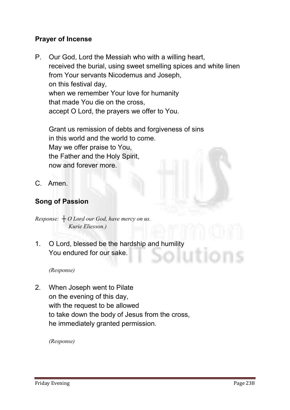# Prayer of Incense

**P. Our God, Lord the Messiah who with a willing heart, received the burial, using sweet smelling spices and white linen from Your servants Nicodemus and Joseph, on this festival day, when we remember Your love for humanity that made You die on the cross, accept O Lord, the prayers we offer to You.**

**Grant us remission of debts and forgiveness of sins in this world and the world to come. May we offer praise to You, the Father and the Holy Spirit, now and forever more.**

**C. Amen.**

# Song of Passion

*Response: ┼ O Lord our God, have mercy on us. Kurie Eliesson.)*

**1. O Lord, blessed be the hardship and humility You endured for our sake.**

*(Response)*

**2. When Joseph went to Pilate on the evening of this day, with the request to be allowed to take down the body of Jesus from the cross, he immediately granted permission.**

*(Response)*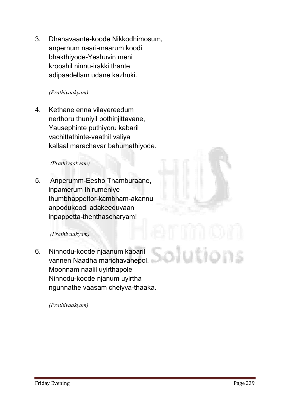**3. Dhanavaante-koode Nikkodhimosum, anpernum naari-maarum koodi bhakthiyode-Yeshuvin meni krooshil ninnu-irakki thante adipaadellam udane kazhuki.**

#### *(Prathivaakyam)*

**4. Kethane enna vilayereedum nerthoru thuniyil pothinjittavane, Yausephinte puthiyoru kabaril vachittathinte-vaathil valiya kallaal marachavar bahumathiyode.**

#### *(Prathivaakyam)*

**5. Anperumm-Eesho Thamburaane, inpamerum thirumeniye thumbhappettor-kambham-akannu anpodukoodi adakeeduvaan inpappetta-thenthascharyam!**

#### *(Prathivaakyam)*

**6. Ninnodu-koode njaanum kabaril vannen Naadha marichavanepol. Moonnam naalil uyirthapole Ninnodu-koode njanum uyirtha ngunnathe vaasam cheiyva-thaaka.**

*(Prathivaakyam)*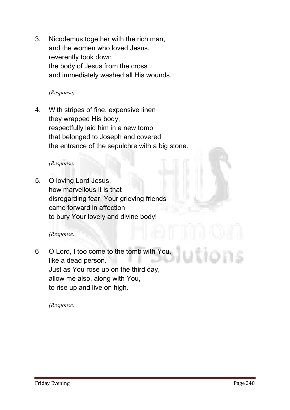**3. Nicodemus together with the rich man, and the women who loved Jesus, reverently took down the body of Jesus from the cross and immediately washed all His wounds.**

#### *(Response)*

**4. With stripes of fine, expensive linen they wrapped His body, respectfully laid him in a new tomb that belonged to Joseph and covered the entrance of the sepulchre with a big stone.**

#### *(Response)*

**5. O loving Lord Jesus, how marvellous it is that disregarding fear, Your grieving friends came forward in affection to bury Your lovely and divine body!**

#### *(Response)*

**6 O Lord, I too come to the tomb with You, like a dead person. Just as You rose up on the third day, allow me also, along with You, to rise up and live on high.**

*(Response)*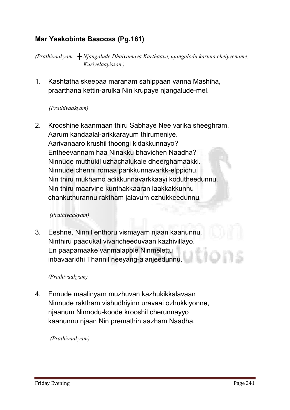# Mar Yaakobinte Baaoosa (Pg.161)

*(Prathivaakyam: ┼ Njangalude Dhaivamaya Karthaave, njangalodu karuna cheiyyename. Kuriyelaayisson.)*

**1. Kashtatha skeepaa maranam sahippaan vanna Mashiha, praarthana kettin-arulka Nin krupaye njangalude-mel.**

#### *(Prathivaakyam)*

**2. Krooshine kaanmaan thiru Sabhaye Nee varika sheeghram. Aarum kandaalal-arikkarayum thirumeniye. Aarivanaaro krushil thoongi kidakkunnayo? Entheevannam haa Ninakku bhavichen Naadha? Ninnude muthukil uzhachalukale dheerghamaakki. Ninnude chenni romaa parikkunnavarkk-elppichu. Nin thiru mukhamo adikkunnavarkkaayi kodutheedunnu. Nin thiru maarvine kunthakkaaran laakkakkunnu chankuthurannu raktham jalavum ozhukkeedunnu.**

#### *(Prathivaakyam)*

**3. Eeshne, Ninnil enthoru vismayam njaan kaanunnu. Ninthiru paadukal vivaricheeduvaan kazhivillayo. En paapamaake vanmalapole Ninmelettu inbavaaridhi Thannil neeyang-alanjeedunnu.**

#### *(Prathivaakyam)*

**4. Ennude maalinyam muzhuvan kazhukikkalavaan Ninnude raktham vishudhiyinn uravaai ozhukkiyonne, njaanum Ninnodu-koode krooshil cherunnayyo kaanunnu njaan Nin premathin aazham Naadha.**

*(Prathivaakyam)*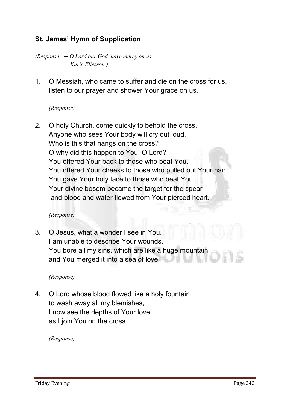# St. James' Hymn of Supplication

*(Response: ┼ O Lord our God, have mercy on us. Kurie Eliesson.)*

**1. O Messiah, who came to suffer and die on the cross for us, listen to our prayer and shower Your grace on us.**

#### *(Response)*

**2. O holy Church, come quickly to behold the cross. Anyone who sees Your body will cry out loud. Who is this that hangs on the cross? O why did this happen to You, O Lord? You offered Your back to those who beat You. You offered Your cheeks to those who pulled out Your hair. You gave Your holy face to those who beat You. Your divine bosom became the target for the spear and blood and water flowed from Your pierced heart.**

#### *(Response)*

**3. O Jesus, what a wonder I see in You. I am unable to describe Your wounds. You bore all my sins, which are like a huge mountain and You merged it into a sea of love.**

*(Response)*

**4. O Lord whose blood flowed like a holy fountain to wash away all my blemishes, I now see the depths of Your love as I join You on the cross.**

*(Response)*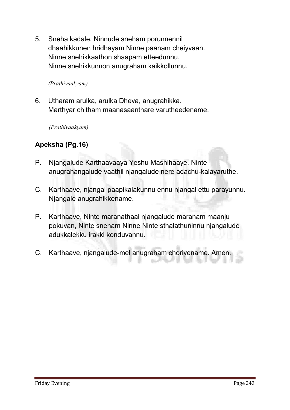**5. Sneha kadale, Ninnude sneham porunnennil dhaahikkunen hridhayam Ninne paanam cheiyvaan. Ninne snehikkaathon shaapam etteedunnu, Ninne snehikkunnon anugraham kaikkollunnu.**

*(Prathivaakyam)* 

**6. Utharam arulka, arulka Dheva, anugrahikka. Marthyar chitham maanasaanthare varutheedename.**

*(Prathivaakyam)* 

# Apeksha (Pg.16)

- **P. Njangalude Karthaavaaya Yeshu Mashihaaye, Ninte anugrahangalude vaathil njangalude nere adachu-kalayaruthe.**
- **C. Karthaave, njangal paapikalakunnu ennu njangal ettu parayunnu. Njangale anugrahikkename.**
- **P. Karthaave, Ninte maranathaal njangalude maranam maanju pokuvan, Ninte sneham Ninne Ninte sthalathuninnu njangalude adukkalekku irakki konduvannu.**
- **C. Karthaave, njangalude-mel anugraham choriyename. Amen.**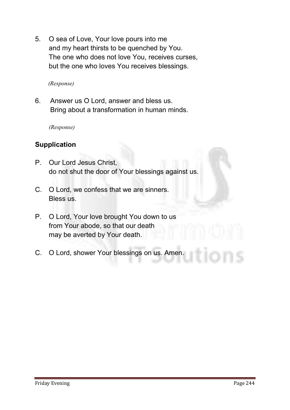**5. O sea of Love, Your love pours into me and my heart thirsts to be quenched by You. The one who does not love You, receives curses, but the one who loves You receives blessings.**

*(Response)*

**6. Answer us O Lord, answer and bless us. Bring about a transformation in human minds.** 

*(Response)*

# Supplication

- **P. Our Lord Jesus Christ, do not shut the door of Your blessings against us.**
- **C. O Lord, we confess that we are sinners. Bless us.**
- **P. O Lord, Your love brought You down to us from Your abode, so that our death may be averted by Your death.**
- **C. O Lord, shower Your blessings on us. Amen.**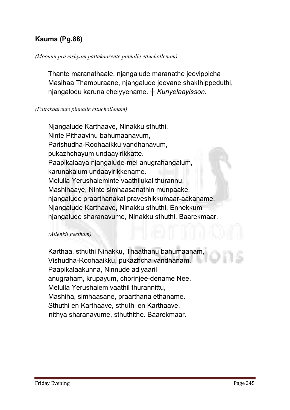# Kauma (Pg.88)

#### *(Moonnu pravashyam pattakaarente pinnalle ettuchollenam)*

**Thante maranathaale, njangalude maranathe jeevippicha Masihaa Thamburaane, njangalude jeevane shakthippeduthi, njangalodu karuna cheiyyename.** *┼ Kuriyelaayisson.*

#### *(Pattakaarente pinnalle ettuchollenam)*

**Njangalude Karthaave, Ninakku sthuthi, Ninte Pithaavinu bahumaanavum, Parishudha-Roohaaikku vandhanavum, pukazhchayum undaayirikkatte. Paapikalaaya njangalude-mel anugrahangalum, karunakalum undaayirikkename. Melulla Yerushaleminte vaathilukal thurannu, Mashihaaye, Ninte simhaasanathin munpaake, njangalude praarthanakal praveshikkumaar-aakaname. Njangalude Karthaave, Ninakku sthuthi. Ennekkum njangalude sharanavume, Ninakku sthuthi. Baarekmaar.** 

#### *(Allenkil geetham)*

**Karthaa, sthuthi Ninakku, Thaathanu bahumaanam, Vishudha-Roohaaikku, pukazhcha vandhanam. Paapikalaakunna, Ninnude adiyaaril anugraham, krupayum, chorinjee-dename Nee. Melulla Yerushalem vaathil thurannittu, Mashiha, simhaasane, praarthana ethaname. Sthuthi en Karthaave, sthuthi en Karthaave, nithya sharanavume, sthuthithe. Baarekmaar.**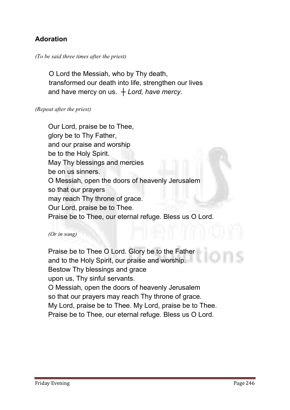# Adoration

#### *(To be said three times after the priest)*

 **O Lord the Messiah, who by Thy death, transformed our death into life, strengthen our lives and have mercy on us.** *┼ Lord, have mercy.*

#### *(Repeat after the priest)*

**Our Lord, praise be to Thee, glory be to Thy Father, and our praise and worship be to the Holy Spirit. May Thy blessings and mercies be on us sinners. O Messiah, open the doors of heavenly Jerusalem so that our prayers may reach Thy throne of grace. Our Lord, praise be to Thee. Praise be to Thee, our eternal refuge. Bless us O Lord.**

#### *(Or in song)*

**Praise be to Thee O Lord. Glory be to the Father and to the Holy Spirit, our praise and worship. Bestow Thy blessings and grace upon us, Thy sinful servants. O Messiah, open the doors of heavenly Jerusalem so that our prayers may reach Thy throne of grace. My Lord, praise be to Thee. My Lord, praise be to Thee. Praise be to Thee, our eternal refuge. Bless us O Lord.**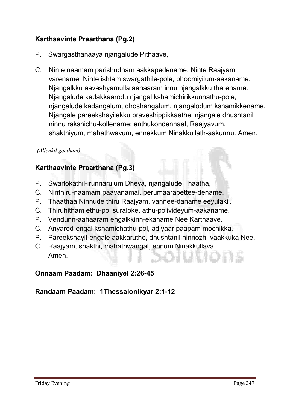# Karthaavinte Praarthana (Pg.2)

- **P. Swargasthanaaya njangalude Pithaave,**
- **C. Ninte naamam parishudham aakkapedename. Ninte Raajyam varename; Ninte ishtam swargathile-pole, bhoomiyilum-aakaname. Njangalkku aavashyamulla aahaaram innu njangalkku tharename. Njangalude kadakkaarodu njangal kshamichirikkunnathu-pole, njangalude kadangalum, dhoshangalum, njangalodum kshamikkename. Njangale pareekshayilekku praveshippikkaathe, njangale dhushtanil ninnu rakshichu-kollename; enthukondennaal, Raajyavum, shakthiyum, mahathwavum, ennekkum Ninakkullath-aakunnu. Amen.**

#### *(Allenkil geetham)*

# Karthaavinte Praarthana (Pg.3)

- **P. Swarlokathil-irunnarulum Dheva, njangalude Thaatha,**
- **C. Ninthiru-naamam paavanamai, perumaarapettee-dename.**
- **P. Thaathaa Ninnude thiru Raajyam, vannee-daname eeyulakil.**
- **C. Thiruhitham ethu-pol suraloke, athu-polivideyum-aakaname.**
- **P. Vendunn-aahaaram engalkkinn-ekaname Nee Karthaave.**
- **C. Anyarod-engal kshamichathu-pol, adiyaar paapam mochikka.**
- **P. Pareekshayil-engale aakkaruthe, dhushtanil ninnozhi-vaakkuka Nee.**
- **C. Raajyam, shakthi, mahathwangal, ennum Ninakkullava. Amen.**

# Onnaam Paadam: Dhaaniyel 2:26-45

# Randaam Paadam:1Thessalonikyar 2:1-12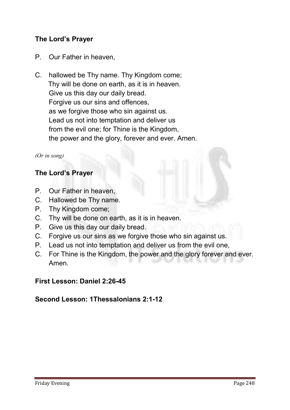# The Lord's Prayer

- **P. Our Father in heaven,**
- **C. hallowed be Thy name. Thy Kingdom come; Thy will be done on earth, as it is in heaven. Give us this day our daily bread. Forgive us our sins and offences, as we forgive those who sin against us. Lead us not into temptation and deliver us from the evil one; for Thine is the Kingdom, the power and the glory, forever and ever. Amen.**

#### *(Or in song)*

# The Lord's Prayer

- **P. Our Father in heaven,**
- **C. Hallowed be Thy name.**
- **P. Thy Kingdom come;**
- **C. Thy will be done on earth, as it is in heaven.**
- **P. Give us this day our daily bread.**
- **C. Forgive us our sins as we forgive those who sin against us.**
- **P. Lead us not into temptation and deliver us from the evil one,**
- **C. For Thine is the Kingdom, the power and the glory forever and ever. Amen.**

#### First Lesson: Daniel 2:26-45

# Second Lesson: 1Thessalonians 2:1-12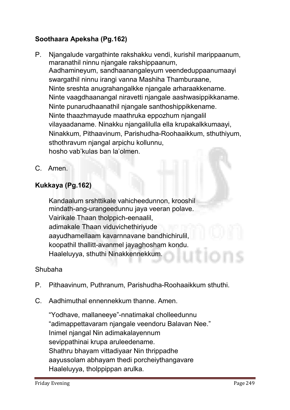# Soothaara Apeksha (Pg.162)

- **P. Njangalude vargathinte rakshakku vendi, kurishil marippaanum, maranathil ninnu njangale rakshippaanum, Aadhamineyum, sandhaanangaleyum veendeduppaanumaayi swargathil ninnu irangi vanna Mashiha Thamburaane, Ninte sreshta anugrahangalkke njangale arharaakkename. Ninte vaagdhaanangal niravetti njangale aashwasippikkaname. Ninte punarudhaanathil njangale santhoshippikkename. Ninte thaazhmayude maathruka eppozhum njangalil vilayaadaname. Ninakku njangalilulla ella krupakalkkumaayi, Ninakkum, Pithaavinum, Parishudha-Roohaaikkum, sthuthiyum, sthothravum njangal arpichu kollunnu, hosho vab'kulas ban la'olmen.**
- **C. Amen.**

# Kukkaya (Pg.162)

**Kandaalum srshttikale vahicheedunnon, krooshil mindath-ang-urangeedunnu jaya veeran polave. Vairikale Thaan tholppich-eenaalil, adimakale Thaan viduvichethiriyude aayudhamellaam kavarnnavane bandhichirulil, koopathil thallitt-avanmel jayaghosham kondu. Haaleluyya, sthuthi Ninakkennekkum.**

# **Shubaha**

- **P. Pithaavinum, Puthranum, Parishudha-Roohaaikkum sthuthi.**
- **C. Aadhimuthal ennennekkum thanne. Amen.**

**"Yodhave, mallaneeye"-nnatimakal cholleedunnu "adimappettavaram njangale veendoru Balavan Nee." Inimel njangal Nin adimakalayennum sevippathinai krupa aruleedename. Shathru bhayam vittadiyaar Nin thrippadhe aayussolam abhayam thedi porcheiythangavare Haaleluyya, tholppippan arulka.**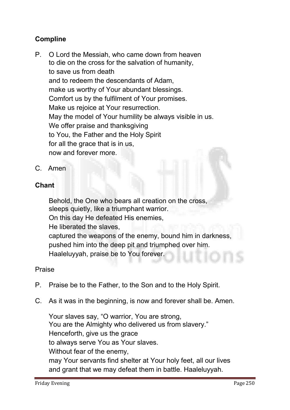# Compline

- **P. O Lord the Messiah, who came down from heaven to die on the cross for the salvation of humanity, to save us from death and to redeem the descendants of Adam, make us worthy of Your abundant blessings. Comfort us by the fulfilment of Your promises. Make us rejoice at Your resurrection. May the model of Your humility be always visible in us. We offer praise and thanksgiving to You, the Father and the Holy Spirit for all the grace that is in us, now and forever more.**
- **C. Amen**

# **Chant**

**Behold, the One who bears all creation on the cross, sleeps quietly, like a triumphant warrior. On this day He defeated His enemies, He liberated the slaves, captured the weapons of the enemy, bound him in darkness, pushed him into the deep pit and triumphed over him. Haaleluyyah, praise be to You forever.**

# **Praise**

- **P. Praise be to the Father, to the Son and to the Holy Spirit.**
- **C. As it was in the beginning, is now and forever shall be. Amen.**

**Your slaves say, "O warrior, You are strong, You are the Almighty who delivered us from slavery." Henceforth, give us the grace to always serve You as Your slaves. Without fear of the enemy, may Your servants find shelter at Your holy feet, all our lives and grant that we may defeat them in battle. Haaleluyyah.**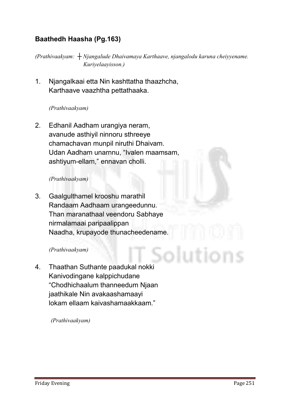# Baathedh Haasha (Pg.163)

*(Prathivaakyam: ┼ Njangalude Dhaivamaya Karthaave, njangalodu karuna cheiyyename. Kuriyelaayisson.)*

**1. Njangalkaai etta Nin kashttatha thaazhcha, Karthaave vaazhtha pettathaaka.**

#### *(Prathivaakyam)*

**2. Edhanil Aadham urangiya neram, avanude asthiyil ninnoru sthreeye chamachavan munpil niruthi Dhaivam. Udan Aadham unarnnu, "Ivalen maamsam, ashtiyum-ellam," ennavan cholli.**

#### *(Prathivaakyam)*

**3. Gaalgulthamel krooshu marathil Randaam Aadhaam urangeedunnu. Than maranathaal veendoru Sabhaye nirmalamaai paripaalippan Naadha, krupayode thunacheedename.**

#### *(Prathivaakyam)*

**4. Thaathan Suthante paadukal nokki Kanivodingane kalppichudane "Chodhichaalum thanneedum Njaan jaathikale Nin avakaashamaayi lokam ellaam kaivashamaakkaam."**

*(Prathivaakyam)*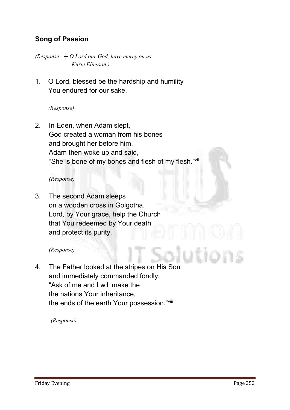# Song of Passion

*(Response: ┼ O Lord our God, have mercy on us. Kurie Eliesson.)*

**1. O Lord, blessed be the hardship and humility You endured for our sake.** 

#### *(Response)*

**2. In Eden, when Adam slept, God created a woman from his bones and brought her before him. Adam then woke up and said, "She is bone of my bones and flesh of my flesh."vii**

#### *(Response)*

**3. The second Adam sleeps on a wooden cross in Golgotha. Lord, by Your grace, help the Church that You redeemed by Your death and protect its purity.**

#### *(Response)*

**4. The Father looked at the stripes on His Son and immediately commanded fondly, "Ask of me and I will make the the nations Your inheritance, the ends of the earth Your possession."viii**

*(Response)*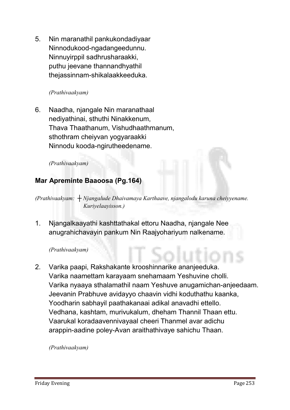**5. Nin maranathil pankukondadiyaar Ninnodukood-ngadangeedunnu. Ninnuyirppil sadhrusharaakki, puthu jeevane thannandhyathil thejassinnam-shikalaakkeeduka.**

#### *(Prathivaakyam)*

**6. Naadha, njangale Nin maranathaal nediyathinai, sthuthi Ninakkenum, Thava Thaathanum, Vishudhaathmanum, sthothram cheiyvan yogyaraakki Ninnodu kooda-ngirutheedename.**

#### *(Prathivaakyam)*

# Mar Apreminte Baaoosa (Pg.164)

*(Prathivaakyam: ┼ Njangalude Dhaivamaya Karthaave, njangalodu karuna cheiyyename. Kuriyelaayisson.)*

**1. Njangalkaayathi kashttathakal ettoru Naadha, njangale Nee anugrahichavayin pankum Nin Raajyohariyum nalkename.**

#### *(Prathivaakyam)*

**2. Varika paapi, Rakshakante krooshinnarike ananjeeduka. Varika naamettam karayaam snehamaam Yeshuvine cholli. Varika nyaaya sthalamathil naam Yeshuve anugamichan-anjeedaam. Jeevanin Prabhuve avidayyo chaavin vidhi koduthathu kaanka, Yoodharin sabhayil paathakanaai adikal anavadhi ettello. Vedhana, kashtam, murivukalum, dheham Thannil Thaan ettu. Vaarukal koradaavennivayaal cheeri Thanmel avar adichu arappin-aadine poley-Avan araithathivaye sahichu Thaan.**

*(Prathivaakyam)*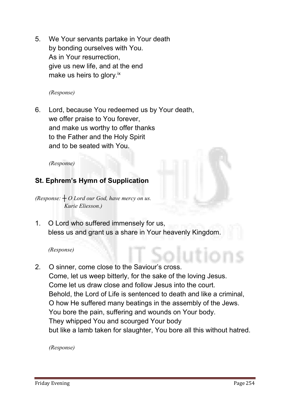**5. We Your servants partake in Your death by bonding ourselves with You. As in Your resurrection, give us new life, and at the end make us heirs to glory.ix**

*(Response)*

**6. Lord, because You redeemed us by Your death, we offer praise to You forever, and make us worthy to offer thanks to the Father and the Holy Spirit and to be seated with You.**

*(Response)*

# St. Ephrem's Hymn of Supplication

*(Response: ┼ O Lord our God, have mercy on us. Kurie Eliesson.)*

**1. O Lord who suffered immensely for us, bless us and grant us a share in Your heavenly Kingdom.**

*(Response)* 

**2. O sinner, come close to the Saviour's cross. Come, let us weep bitterly, for the sake of the loving Jesus. Come let us draw close and follow Jesus into the court. Behold, the Lord of Life is sentenced to death and like a criminal, O how He suffered many beatings in the assembly of the Jews. You bore the pain, suffering and wounds on Your body. They whipped You and scourged Your body but like a lamb taken for slaughter, You bore all this without hatred.**

*(Response)*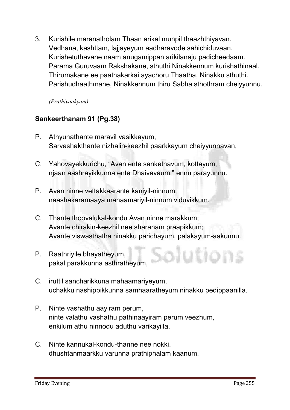**3. Kurishile maranatholam Thaan arikal munpil thaazhthiyavan. Vedhana, kashttam, lajjayeyum aadharavode sahichiduvaan. Kurishetuthavane naam anugamippan arikilanaju padicheedaam. Parama Guruvaam Rakshakane, sthuthi Ninakkennum kurishathinaal. Thirumakane ee paathakarkai ayachoru Thaatha, Ninakku sthuthi. Parishudhaathmane, Ninakkennum thiru Sabha sthothram cheiyyunnu.**

*(Prathivaakyam)* 

# Sankeerthanam 91 (Pg.38)

- **P. Athyunathante maravil vasikkayum, Sarvashakthante nizhalin-keezhil paarkkayum cheiyyunnavan,**
- **C. Yahovayekkurichu, "Avan ente sankethavum, kottayum, njaan aashrayikkunna ente Dhaivavaum," ennu parayunnu.**
- **P. Avan ninne vettakkaarante kaniyil-ninnum, naashakaramaaya mahaamariyil-ninnum viduvikkum.**
- **C. Thante thoovalukal-kondu Avan ninne marakkum; Avante chirakin-keezhil nee sharanam praapikkum; Avante viswasthatha ninakku parichayum, palakayum-aakunnu.**
- **P. Raathriyile bhayatheyum, pakal parakkunna asthratheyum,**
- **C. iruttil sancharikkuna mahaamariyeyum, uchakku nashippikkunna samhaaratheyum ninakku pedippaanilla.**
- **P. Ninte vashathu aayiram perum, ninte valathu vashathu pathinaayiram perum veezhum, enkilum athu ninnodu aduthu varikayilla.**
- **C. Ninte kannukal-kondu-thanne nee nokki, dhushtanmaarkku varunna prathiphalam kaanum.**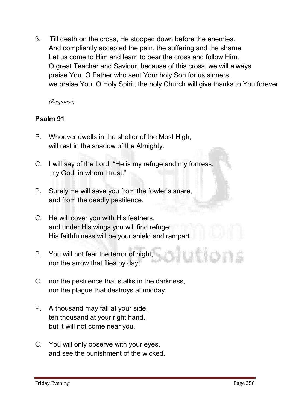**3. Till death on the cross, He stooped down before the enemies. And compliantly accepted the pain, the suffering and the shame. Let us come to Him and learn to bear the cross and follow Him. O great Teacher and Saviour, because of this cross, we will always praise You. O Father who sent Your holy Son for us sinners, we praise You. O Holy Spirit, the holy Church will give thanks to You forever.** 

*(Response)* 

# Psalm 91

- **P. Whoever dwells in the shelter of the Most High, will rest in the shadow of the Almighty.**
- **C. I will say of the Lord, "He is my refuge and my fortress, my God, in whom I trust."**
- **P. Surely He will save you from the fowler's snare, and from the deadly pestilence.**
- **C. He will cover you with His feathers, and under His wings you will find refuge; His faithfulness will be your shield and rampart.**
- **P. You will not fear the terror of night, nor the arrow that flies by day,**
- **C. nor the pestilence that stalks in the darkness, nor the plague that destroys at midday.**
- **P. A thousand may fall at your side, ten thousand at your right hand, but it will not come near you.**
- **C. You will only observe with your eyes, and see the punishment of the wicked.**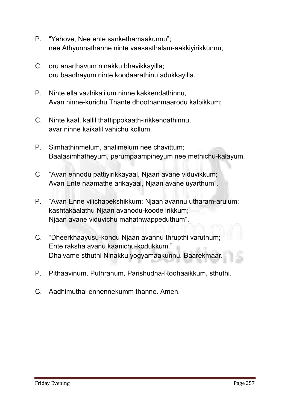- **P. "Yahove, Nee ente sankethamaakunnu"; nee Athyunnathanne ninte vaasasthalam-aakkiyirikkunnu,**
- **C. oru anarthavum ninakku bhavikkayilla; oru baadhayum ninte koodaarathinu adukkayilla.**
- **P. Ninte ella vazhikalilum ninne kakkendathinnu, Avan ninne-kurichu Thante dhoothanmaarodu kalpikkum;**
- **C. Ninte kaal, kallil thattippokaath-irikkendathinnu, avar ninne kaikalil vahichu kollum.**
- **P. Simhathinmelum, analimelum nee chavittum; Baalasimhatheyum, perumpaampineyum nee methichu-kalayum.**
- **C "Avan ennodu pattiyirikkayaal, Njaan avane viduvikkum; Avan Ente naamathe arikayaal, Njaan avane uyarthum".**
- **P. "Avan Enne vilichapekshikkum; Njaan avannu utharam-arulum; kashtakaalathu Njaan avanodu-koode irikkum; Njaan avane viduvichu mahathwappeduthum".**
- **C. "Dheerkhaayusu-kondu Njaan avannu thrupthi varuthum; Ente raksha avanu kaanichu-kodukkum." Dhaivame sthuthi Ninakku yogyamaakunnu. Baarekmaar.**
- **P. Pithaavinum, Puthranum, Parishudha-Roohaaikkum, sthuthi.**
- **C. Aadhimuthal ennennekumm thanne. Amen.**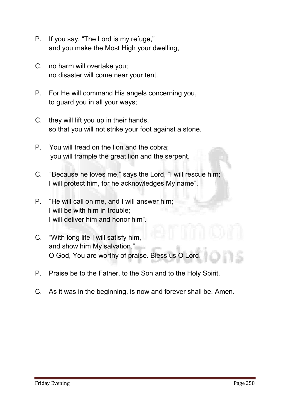- **P. If you say, "The Lord is my refuge," and you make the Most High your dwelling,**
- **C. no harm will overtake you; no disaster will come near your tent.**
- **P. For He will command His angels concerning you, to guard you in all your ways;**
- **C. they will lift you up in their hands, so that you will not strike your foot against a stone.**
- **P. You will tread on the lion and the cobra; you will trample the great lion and the serpent.**
- **C. "Because he loves me," says the Lord, "I will rescue him; I will protect him, for he acknowledges My name".**
- **P. "He will call on me, and I will answer him; I will be with him in trouble; I will deliver him and honor him".**
- **C. "With long life I will satisfy him, and show him My salvation." O God, You are worthy of praise. Bless us O Lord.**
- **P. Praise be to the Father, to the Son and to the Holy Spirit.**
- **C. As it was in the beginning, is now and forever shall be. Amen.**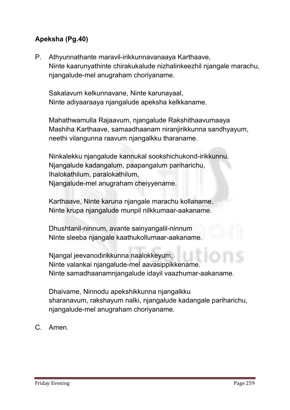# Apeksha (Pg.40)

**P. Athyunnathante maravil-irikkunnavanaaya Karthaave, Ninte kaarunyathinte chirakukalude nizhalinkeezhil njangale marachu, njangalude-mel anugraham choriyaname.**

 **Sakalavum kelkunnavane, Ninte karunayaal, Ninte adiyaaraaya njangalude apeksha kelkkaname.**

 **Mahathwamulla Rajaavum, njangalude Rakshithaavumaaya Mashiha Karthaave, samaadhaanam niranjirikkunna sandhyayum, neethi vilangunna raavum njangalkku tharaname.**

 **Ninkalekku njangalude kannukal sookshichukond-irikkunnu. Njangalude kadangalum, paapangalum pariharichu, Ihalokathilum, paralokathilum, Njangalude-mel anugraham cheiyyename.**

 **Karthaave, Ninte karuna njangale marachu kollaname. Ninte krupa njangalude munpil nilkkumaar-aakaname.**

 **Dhushtanil-ninnum, avante sainyangalil-ninnum Ninte sleeba njangale kaathukollumaar-aakaname.**

 **Njangal jeevanodirikkunna naalokkeyum, Ninte valankai njangalude-mel aavasippikkename. Ninte samadhaanamnjangalude idayil vaazhumar-aakaname.**

 **Dhaivame, Ninnodu apekshikkunna njangalkku sharanavum, rakshayum nalki, njangalude kadangale pariharichu, njangalude-mel anugraham choriyaname.** 

**C. Amen.**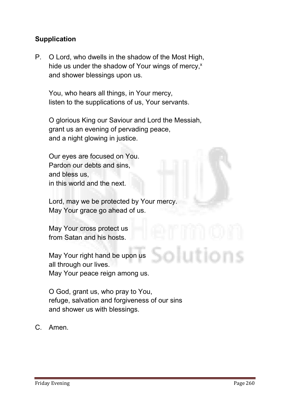# **Supplication**

**P. O Lord, who dwells in the shadow of the Most High, hide us under the shadow of Your wings of mercy, x and shower blessings upon us.**

 **You, who hears all things, in Your mercy, listen to the supplications of us, Your servants.**

 **O glorious King our Saviour and Lord the Messiah, grant us an evening of pervading peace, and a night glowing in justice.**

 **Our eyes are focused on You. Pardon our debts and sins, and bless us, in this world and the next.**

 **Lord, may we be protected by Your mercy. May Your grace go ahead of us.**

 **May Your cross protect us from Satan and his hosts.**

 **May Your right hand be upon us all through our lives. May Your peace reign among us.**

 **O God, grant us, who pray to You, refuge, salvation and forgiveness of our sins and shower us with blessings.** 

**C. Amen.**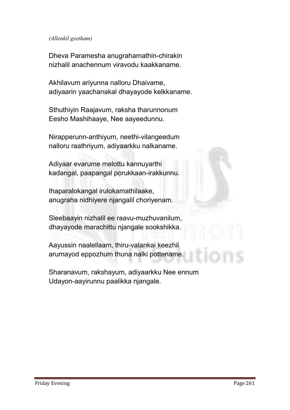#### *(Allenkil geetham)*

**Dheva Paramesha anugrahamathin-chirakin nizhalil anachennum viravodu kaakkaname.**

**Akhilavum ariyunna nalloru Dhaivame, adiyaarin yaachanakal dhayayode kelkkaname.**

**Sthuthiyin Raajavum, raksha tharunnonum Eesho Mashihaaye, Nee aayeedunnu.**

**Nirapperunn-anthiyum, neethi-vilangeedum nalloru raathriyum, adiyaarkku nalkaname.**

**Adiyaar evarume melottu kannuyarthi kadangal, paapangal porukkaan-irakkunnu.**

**Ihaparalokangal irulokamathilaake, anugraha nidhiyere njangalil choriyenam.**

**Sleebaayin nizhalil ee raavu-muzhuvanilum, dhayayode marachittu njangale sookshikka.**

**Aayussin naalellaam, thiru-valankai keezhil arumayod eppozhum thuna nalki pottename.**

**Sharanavum, rakshayum, adiyaarkku Nee ennum Udayon-aayirunnu paalikka njangale.**

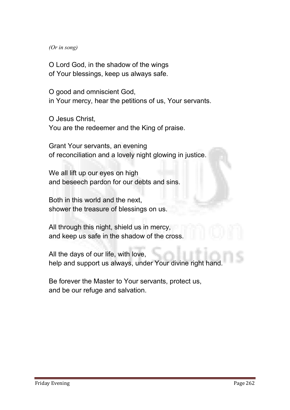#### *(Or in song)*

**O Lord God, in the shadow of the wings of Your blessings, keep us always safe.**

**O good and omniscient God, in Your mercy, hear the petitions of us, Your servants.**

**O Jesus Christ, You are the redeemer and the King of praise.**

**Grant Your servants, an evening of reconciliation and a lovely night glowing in justice.**

**We all lift up our eyes on high and beseech pardon for our debts and sins.**

**Both in this world and the next, shower the treasure of blessings on us.**

**All through this night, shield us in mercy, and keep us safe in the shadow of the cross.**

**All the days of our life, with love, help and support us always, under Your divine right hand.**

**Be forever the Master to Your servants, protect us, and be our refuge and salvation.**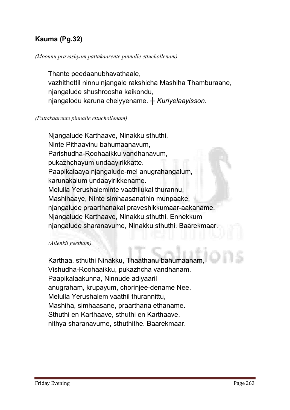# Kauma (Pg.32)

#### *(Moonnu pravashyam pattakaarente pinnalle ettuchollenam)*

**Thante peedaanubhavathaale, vazhithettil ninnu njangale rakshicha Mashiha Thamburaane, njangalude shushroosha kaikondu, njangalodu karuna cheiyyename.** *┼ Kuriyelaayisson.*

#### *(Pattakaarente pinnalle ettuchollenam)*

**Njangalude Karthaave, Ninakku sthuthi, Ninte Pithaavinu bahumaanavum, Parishudha-Roohaaikku vandhanavum, pukazhchayum undaayirikkatte. Paapikalaaya njangalude-mel anugrahangalum, karunakalum undaayirikkename. Melulla Yerushaleminte vaathilukal thurannu, Mashihaaye, Ninte simhaasanathin munpaake, njangalude praarthanakal praveshikkumaar-aakaname. Njangalude Karthaave, Ninakku sthuthi. Ennekkum njangalude sharanavume, Ninakku sthuthi. Baarekmaar.** 

#### *(Allenkil geetham)*

**Karthaa, sthuthi Ninakku, Thaathanu bahumaanam, Vishudha-Roohaaikku, pukazhcha vandhanam. Paapikalaakunna, Ninnude adiyaaril anugraham, krupayum, chorinjee-dename Nee. Melulla Yerushalem vaathil thurannittu, Mashiha, simhaasane, praarthana ethaname. Sthuthi en Karthaave, sthuthi en Karthaave, nithya sharanavume, sthuthithe. Baarekmaar.**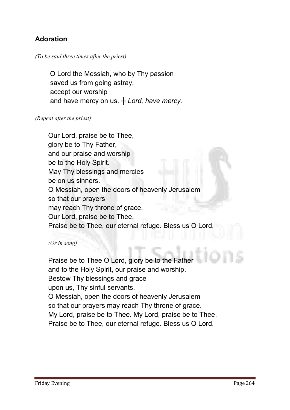# Adoration

#### *(To be said three times after the priest)*

 **O Lord the Messiah, who by Thy passion saved us from going astray, accept our worship and have mercy on us.** *┼ Lord, have mercy.*

#### *(Repeat after the priest)*

**Our Lord, praise be to Thee, glory be to Thy Father, and our praise and worship be to the Holy Spirit. May Thy blessings and mercies be on us sinners. O Messiah, open the doors of heavenly Jerusalem so that our prayers may reach Thy throne of grace. Our Lord, praise be to Thee. Praise be to Thee, our eternal refuge. Bless us O Lord.**

*(Or in song)* 

**Praise be to Thee O Lord, glory be to the Father and to the Holy Spirit, our praise and worship. Bestow Thy blessings and grace upon us, Thy sinful servants. O Messiah, open the doors of heavenly Jerusalem so that our prayers may reach Thy throne of grace. My Lord, praise be to Thee. My Lord, praise be to Thee. Praise be to Thee, our eternal refuge. Bless us O Lord.**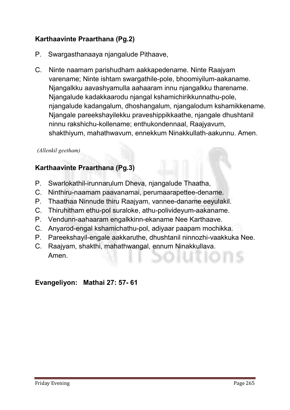# Karthaavinte Praarthana (Pg.2)

- **P. Swargasthanaaya njangalude Pithaave,**
- **C. Ninte naamam parishudham aakkapedename. Ninte Raajyam varename; Ninte ishtam swargathile-pole, bhoomiyilum-aakaname. Njangalkku aavashyamulla aahaaram innu njangalkku tharename. Njangalude kadakkaarodu njangal kshamichirikkunnathu-pole, njangalude kadangalum, dhoshangalum, njangalodum kshamikkename. Njangale pareekshayilekku praveshippikkaathe, njangale dhushtanil ninnu rakshichu-kollename; enthukondennaal, Raajyavum, shakthiyum, mahathwavum, ennekkum Ninakkullath-aakunnu. Amen.**

#### *(Allenkil geetham)*

# Karthaavinte Praarthana (Pg.3)

- **P. Swarlokathil-irunnarulum Dheva, njangalude Thaatha,**
- **C. Ninthiru-naamam paavanamai, perumaarapettee-dename.**
- **P. Thaathaa Ninnude thiru Raajyam, vannee-daname eeyulakil.**
- **C. Thiruhitham ethu-pol suraloke, athu-polivideyum-aakaname.**
- **P. Vendunn-aahaaram engalkkinn-ekaname Nee Karthaave.**
- **C. Anyarod-engal kshamichathu-pol, adiyaar paapam mochikka.**
- **P. Pareekshayil-engale aakkaruthe, dhushtanil ninnozhi-vaakkuka Nee.**
- **C. Raajyam, shakthi, mahathwangal, ennum Ninakkullava. Amen.**

# Evangeliyon: Mathai 27: 57- 61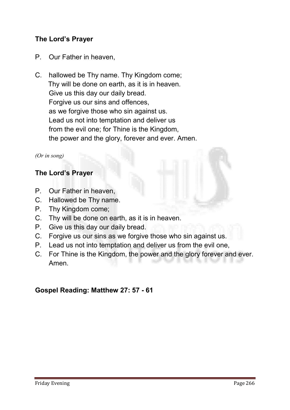# The Lord's Prayer

- **P. Our Father in heaven,**
- **C. hallowed be Thy name. Thy Kingdom come; Thy will be done on earth, as it is in heaven. Give us this day our daily bread. Forgive us our sins and offences, as we forgive those who sin against us. Lead us not into temptation and deliver us from the evil one; for Thine is the Kingdom, the power and the glory, forever and ever. Amen.**

#### *(Or in song)*

# The Lord's Prayer

- **P. Our Father in heaven,**
- **C. Hallowed be Thy name.**
- **P. Thy Kingdom come;**
- **C. Thy will be done on earth, as it is in heaven.**
- **P. Give us this day our daily bread.**
- **C. Forgive us our sins as we forgive those who sin against us.**
- **P. Lead us not into temptation and deliver us from the evil one,**
- **C. For Thine is the Kingdom, the power and the glory forever and ever. Amen.**

# Gospel Reading: Matthew 27: 57 - 61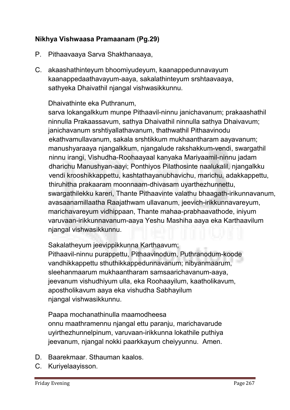# Nikhya Vishwaasa Pramaanam (Pg.29)

- **P. Pithaavaaya Sarva Shakthanaaya,**
- **C. akaashathinteyum bhoomiyudeyum, kaanappedunnavayum kaanappedaathavayum-aaya, sakalathinteyum srshtaavaaya, sathyeka Dhaivathil njangal vishwasikkunnu.**

### **Dhaivathinte eka Puthranum,**

**sarva lokangalkkum munpe Pithaavil-ninnu janichavanum; prakaashathil ninnulla Prakaassavum, sathya Dhaivathil ninnulla sathya Dhaivavum; janichavanum srshtiyallathavanum, thathwathil Pithaavinodu ekathvamullavanum, sakala srshtikkum mukhaantharam aayavanum; manushyaraaya njangalkkum, njangalude rakshakkum-vendi, swargathil ninnu irangi, Vishudha-Roohaayaal kanyaka Mariyaamil-ninnu jadam dharichu Manushyan-aayi; Ponthiyos Pilathosinte naalukalil, njangalkku vendi krooshikkappettu, kashtathayanubhavichu, marichu, adakkappettu, thiruhitha prakaaram moonnaam-dhivasam uyarthezhunnettu, swargathilekku kareri, Thante Pithaavinte valathu bhaagath-irikunnavanum, avasaanamillaatha Raajathwam ullavanum, jeevich-irikkunnavareyum, marichavareyum vidhippaan, Thante mahaa-prabhaavathode, iniyum varuvaan-irikkunnavanum-aaya Yeshu Mashiha aaya eka Karthaavilum njangal vishwasikkunnu.**

**Sakalatheyum jeevippikkunna Karthaavum;**

**Pithaavil-ninnu purappettu, Pithaavinodum, Puthranodum-koode vandhikkappettu sthuthikkappedunnavanum; nibyanmaarum, sleehanmaarum mukhaantharam samsaarichavanum-aaya, jeevanum vishudhiyum ulla, eka Roohaayilum, kaatholikavum, apostholikavum aaya eka vishudha Sabhayilum njangal vishwasikkunnu.**

**Paapa mochanathinulla maamodheesa onnu maathramennu njangal ettu paranju, marichavarude uyirthezhunnelpinum, varuvaan-irikkunna lokathile puthiya jeevanum, njangal nokki paarkkayum cheiyyunnu. Amen.**

- **D. Baarekmaar. Sthauman kaalos.**
- **C. Kuriyelaayisson.**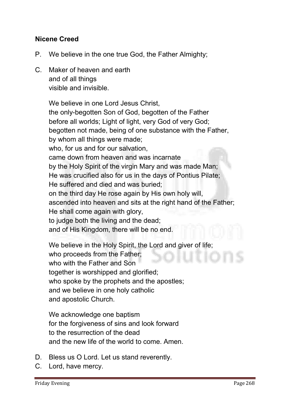# Nicene Creed

- **P. We believe in the one true God, the Father Almighty;**
- **C. Maker of heaven and earth and of all things visible and invisible.**

**We believe in one Lord Jesus Christ, the only-begotten Son of God, begotten of the Father before all worlds; Light of light, very God of very God; begotten not made, being of one substance with the Father, by whom all things were made; who, for us and for our salvation, came down from heaven and was incarnate by the Holy Spirit of the virgin Mary and was made Man; He was crucified also for us in the days of Pontius Pilate; He suffered and died and was buried; on the third day He rose again by His own holy will, ascended into heaven and sits at the right hand of the Father; He shall come again with glory, to judge both the living and the dead; and of His Kingdom, there will be no end.** 

**We believe in the Holy Spirit, the Lord and giver of life; who proceeds from the Father; who with the Father and Son together is worshipped and glorified; who spoke by the prophets and the apostles; and we believe in one holy catholic and apostolic Church.**

**We acknowledge one baptism for the forgiveness of sins and look forward to the resurrection of the dead and the new life of the world to come. Amen.** 

- **D. Bless us O Lord. Let us stand reverently.**
- **C. Lord, have mercy.**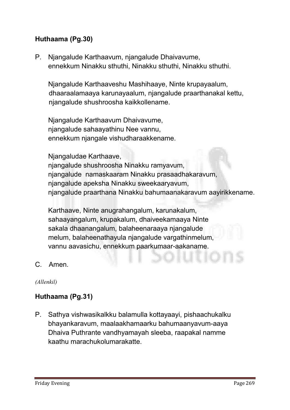# Huthaama (Pg.30)

**P. Njangalude Karthaavum, njangalude Dhaivavume, ennekkum Ninakku sthuthi, Ninakku sthuthi, Ninakku sthuthi.**

**Njangalude Karthaaveshu Mashihaaye, Ninte krupayaalum, dhaaraalamaaya karunayaalum, njangalude praarthanakal kettu, njangalude shushroosha kaikkollename.**

**Njangalude Karthaavum Dhaivavume, njangalude sahaayathinu Nee vannu, ennekkum njangale vishudharaakkename.** 

**Njangaludae Karthaave,** 

**njangalude shushroosha Ninakku ramyavum, njangalude namaskaaram Ninakku prasaadhakaravum, njangalude apeksha Ninakku sweekaaryavum, njangalude praarthana Ninakku bahumaanakaravum aayirikkename.** 

**Karthaave, Ninte anugrahangalum, karunakalum, sahaayangalum, krupakalum, dhaiveekamaaya Ninte sakala dhaanangalum, balaheenaraaya njangalude melum, balaheenathayula njangalude vargathinmelum, vannu aavasichu, ennekkum paarkumaar-aakaname.**

**C. Amen.**

*(Allenkil)*

# Huthaama (Pg.31)

**P. Sathya vishwasikalkku balamulla kottayaayi, pishaachukalku bhayankaravum, maalaakhamaarku bahumaanyavum-aaya Dhaiva Puthrante vandhyamayah sleeba, raapakal namme kaathu marachukolumarakatte.**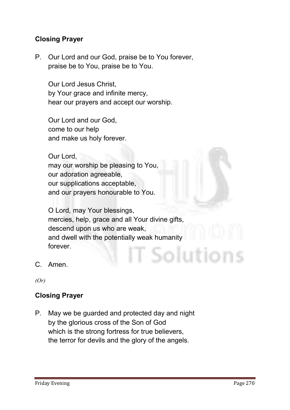# Closing Prayer

**P. Our Lord and our God, praise be to You forever, praise be to You, praise be to You.**

**Our Lord Jesus Christ, by Your grace and infinite mercy, hear our prayers and accept our worship.** 

**Our Lord and our God, come to our help and make us holy forever.** 

**Our Lord, may our worship be pleasing to You, our adoration agreeable, our supplications acceptable, and our prayers honourable to You.** 

**O Lord, may Your blessings, mercies, help, grace and all Your divine gifts, descend upon us who are weak, and dwell with the potentially weak humanity forever.** Solution

**C. Amen.**

*(Or)*

# Closing Prayer

**P. May we be guarded and protected day and night by the glorious cross of the Son of God which is the strong fortress for true believers, the terror for devils and the glory of the angels.**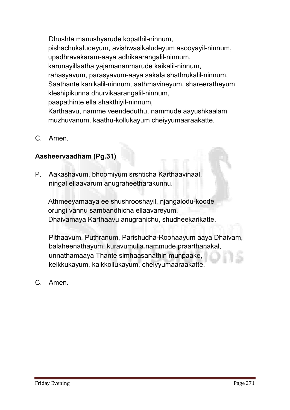**Dhushta manushyarude kopathil-ninnum, pishachukaludeyum, avishwasikaludeyum asooyayil-ninnum, upadhravakaram-aaya adhikaarangalil-ninnum, karunayillaatha yajamananmarude kaikalil-ninnum, rahasyavum, parasyavum-aaya sakala shathrukalil-ninnum, Saathante kanikalil-ninnum, aathmavineyum, shareeratheyum kleshipikunna dhurvikaarangalil-ninnum, paapathinte ella shakthiyil-ninnum, Karthaavu, namme veendeduthu, nammude aayushkaalam muzhuvanum, kaathu-kollukayum cheiyyumaaraakatte.**

**C. Amen.**

# Aasheervaadham (Pg.31)

**P. Aakashavum, bhoomiyum srshticha Karthaavinaal, ningal ellaavarum anugraheetharakunnu.**

**Athmeeyamaaya ee shushrooshayil, njangalodu-koode orungi vannu sambandhicha ellaavareyum, Dhaivamaya Karthaavu anugrahichu, shudheekarikatte.**

**Pithaavum, Puthranum, Parishudha-Roohaayum aaya Dhaivam, balaheenathayum, kuravumulla nammude praarthanakal, unnathamaaya Thante simhaasanathin munpaake, kelkkukayum, kaikkollukayum, cheiyyumaaraakatte.**

**C. Amen.**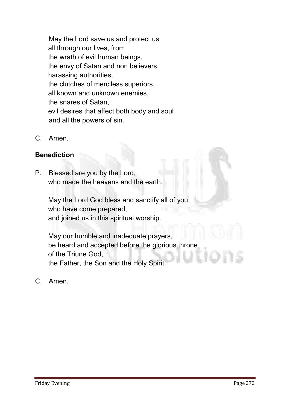**May the Lord save us and protect us all through our lives, from the wrath of evil human beings, the envy of Satan and non believers, harassing authorities, the clutches of merciless superiors, all known and unknown enemies, the snares of Satan, evil desires that affect both body and soul and all the powers of sin.**

**C. Amen.**

# **Benediction**

**P. Blessed are you by the Lord, who made the heavens and the earth.** 

**May the Lord God bless and sanctify all of you, who have come prepared, and joined us in this spiritual worship.** 

**May our humble and inadequate prayers, be heard and accepted before the glorious throne of the Triune God, the Father, the Son and the Holy Spirit.**

**C. Amen.**